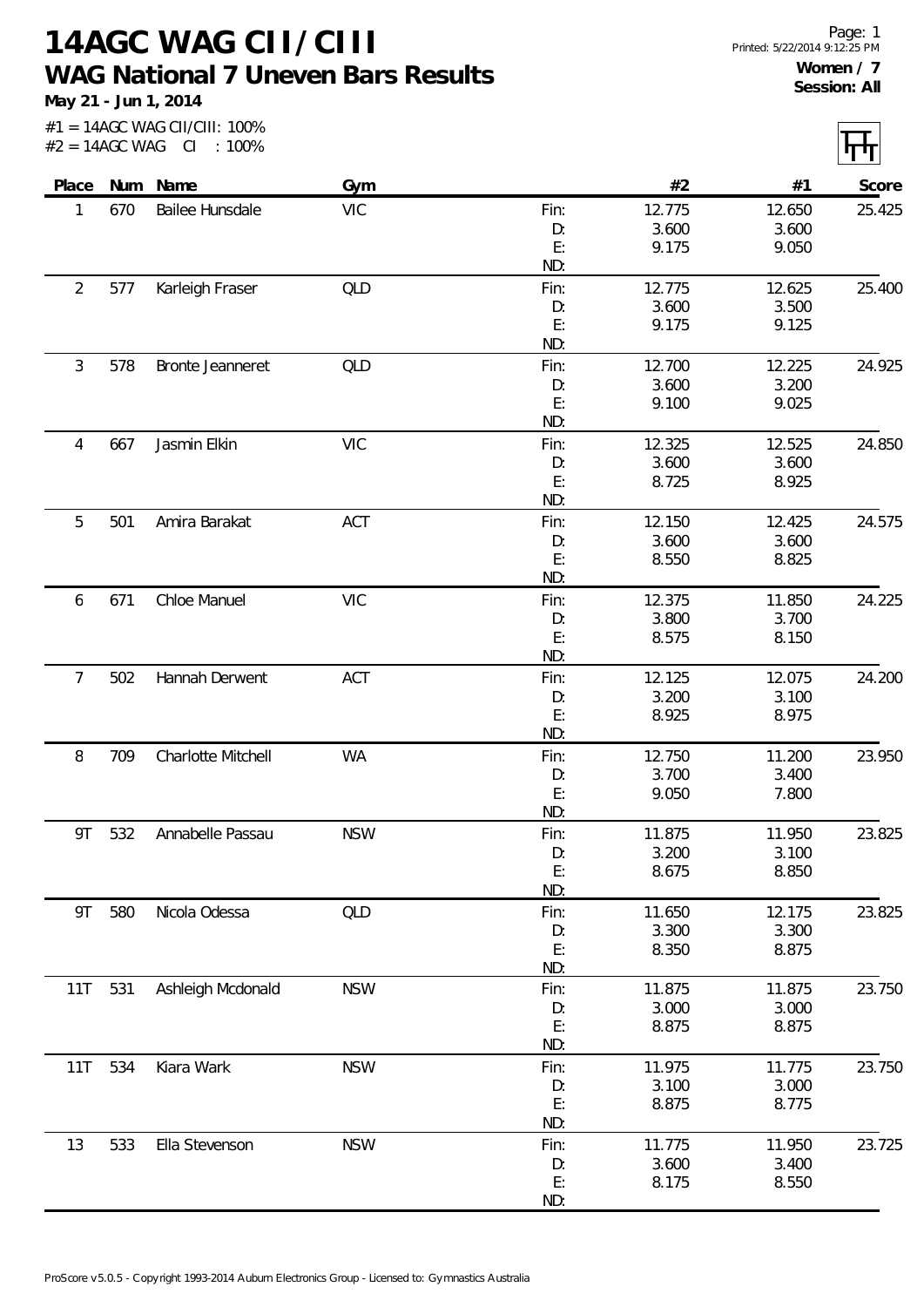**14AGC WAG CII/CIII WAG National 7 Uneven Bars Results**

**May 21 - Jun 1, 2014**

|                |     | #1 = 14AGC WAG CII/CIII: 100%<br>$#2 = 14AGC WAG CI : 100\%$ |            |            |                 |                 |        |
|----------------|-----|--------------------------------------------------------------|------------|------------|-----------------|-----------------|--------|
| Place          |     | Num Name                                                     | Gym        |            | #2              | #1              | Score  |
| 1              | 670 | Bailee Hunsdale                                              | <b>VIC</b> | Fin:       | 12.775          | 12.650          | 25.425 |
|                |     |                                                              |            | D:         | 3.600           | 3.600           |        |
|                |     |                                                              |            | E:         | 9.175           | 9.050           |        |
|                |     |                                                              |            | ND:        |                 |                 |        |
| $\overline{2}$ | 577 | Karleigh Fraser                                              | QLD        | Fin:       | 12.775          | 12.625          | 25.400 |
|                |     |                                                              |            | D:         | 3.600           | 3.500           |        |
|                |     |                                                              |            | E:         | 9.175           | 9.125           |        |
|                |     |                                                              |            | ND:        |                 |                 |        |
| 3              | 578 | Bronte Jeanneret                                             | QLD        | Fin:<br>D: | 12.700<br>3.600 | 12.225<br>3.200 | 24.925 |
|                |     |                                                              |            | E:         | 9.100           | 9.025           |        |
|                |     |                                                              |            | ND:        |                 |                 |        |
| 4              | 667 | Jasmin Elkin                                                 | <b>VIC</b> | Fin:       | 12.325          | 12.525          | 24.850 |
|                |     |                                                              |            | D:         | 3.600           | 3.600           |        |
|                |     |                                                              |            | E:         | 8.725           | 8.925           |        |
|                |     |                                                              |            | ND:        |                 |                 |        |
| 5              | 501 | Amira Barakat                                                | ACT        | Fin:       | 12.150          | 12.425          | 24.575 |
|                |     |                                                              |            | D:         | 3.600           | 3.600           |        |
|                |     |                                                              |            | E:         | 8.550           | 8.825           |        |
|                |     |                                                              |            | ND:        |                 |                 |        |
| 6              | 671 | Chloe Manuel                                                 | <b>VIC</b> | Fin:       | 12.375          | 11.850          | 24.225 |
|                |     |                                                              |            | D:         | 3.800           | 3.700           |        |
|                |     |                                                              |            | E:         | 8.575           | 8.150           |        |
|                |     |                                                              |            | ND:        |                 |                 |        |
| $\overline{7}$ | 502 | Hannah Derwent                                               | ACT        | Fin:       | 12.125          | 12.075          | 24.200 |
|                |     |                                                              |            | D:<br>E:   | 3.200<br>8.925  | 3.100<br>8.975  |        |
|                |     |                                                              |            | ND:        |                 |                 |        |
| 8              | 709 | Charlotte Mitchell                                           | <b>WA</b>  | Fin:       | 12.750          | 11.200          | 23.950 |
|                |     |                                                              |            | D:         | 3.700           | 3.400           |        |
|                |     |                                                              |            | E:         | 9.050           | 7.800           |        |
|                |     |                                                              |            | ND:        |                 |                 |        |
| 9T             | 532 | Annabelle Passau                                             | <b>NSW</b> | Fin:       | 11.875          | 11.950          | 23.825 |
|                |     |                                                              |            | D:         | 3.200           | 3.100           |        |
|                |     |                                                              |            | E:         | 8.675           | 8.850           |        |
|                |     |                                                              |            | ND:        |                 |                 |        |
| 9T             | 580 | Nicola Odessa                                                | QLD        | Fin:       | 11.650          | 12.175          | 23.825 |
|                |     |                                                              |            | D:<br>E:   | 3.300<br>8.350  | 3.300<br>8.875  |        |
|                |     |                                                              |            | ND:        |                 |                 |        |
| 11T            | 531 | Ashleigh Mcdonald                                            | <b>NSW</b> | Fin:       | 11.875          | 11.875          | 23.750 |
|                |     |                                                              |            | D:         | 3.000           | 3.000           |        |
|                |     |                                                              |            | E:         | 8.875           | 8.875           |        |
|                |     |                                                              |            | ND:        |                 |                 |        |
| 11T            | 534 | Kiara Wark                                                   | <b>NSW</b> | Fin:       | 11.975          | 11.775          | 23.750 |
|                |     |                                                              |            | D:         | 3.100           | 3.000           |        |
|                |     |                                                              |            | E:         | 8.875           | 8.775           |        |
|                |     |                                                              |            | ND:        |                 |                 |        |
| 13             | 533 | Ella Stevenson                                               | <b>NSW</b> | Fin:       | 11.775          | 11.950          | 23.725 |
|                |     |                                                              |            | D:         | 3.600           | 3.400           |        |
|                |     |                                                              |            | E:         | 8.175           | 8.550           |        |
|                |     |                                                              |            | ND:        |                 |                 |        |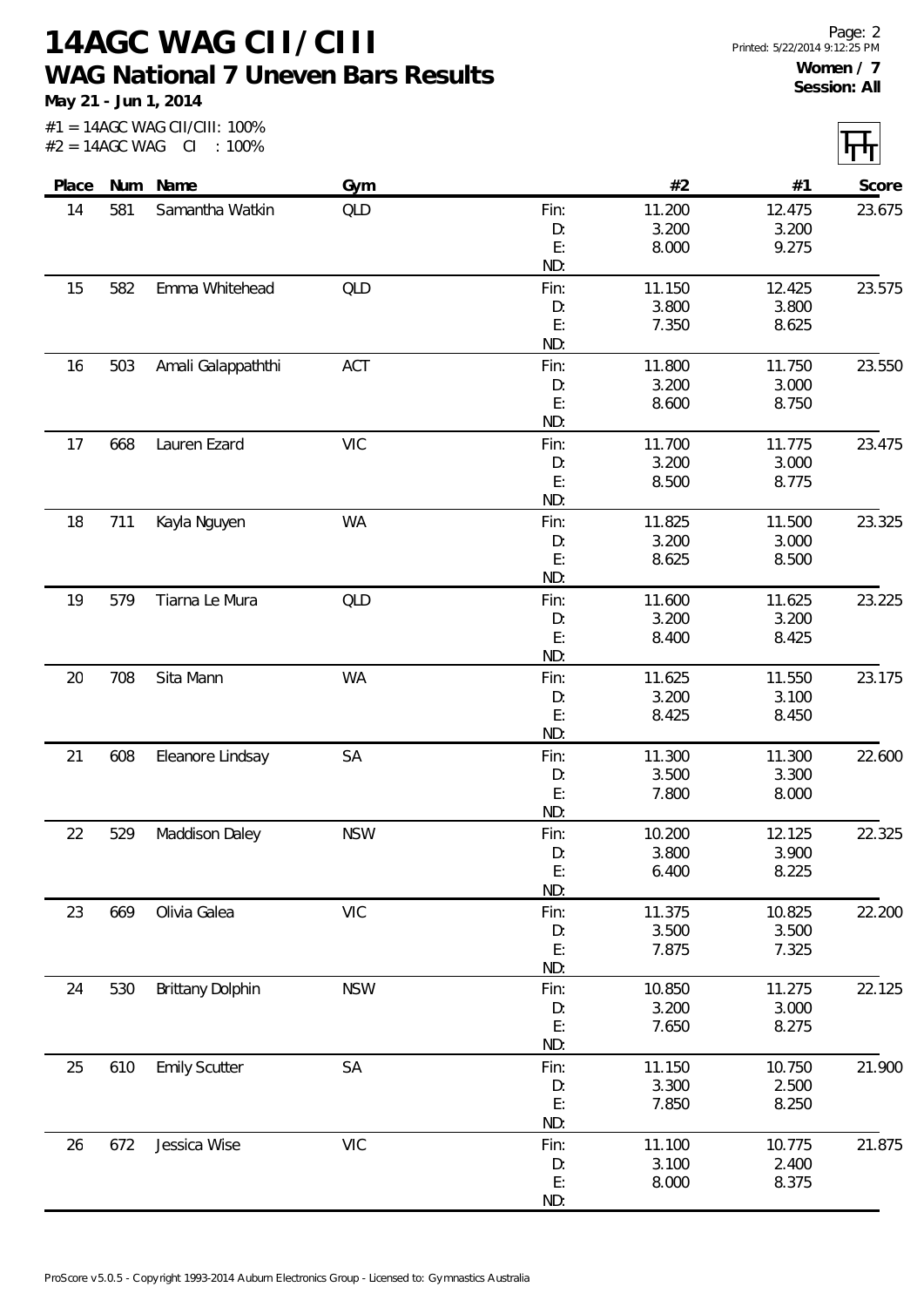**14AGC WAG CII/CIII WAG National 7 Uneven Bars Results**

**May 21 - Jun 1, 2014**

| $#2 = 14AGC$ WAG |     | #1 = 14AGC WAG CII/CIII: 100%<br>CI : 100% |            |           |        |        |        |
|------------------|-----|--------------------------------------------|------------|-----------|--------|--------|--------|
| Place            |     | Num Name                                   | Gym        |           | #2     | #1     | Score  |
| 14               | 581 | Samantha Watkin                            | QLD        | Fin:      | 11.200 | 12.475 | 23.675 |
|                  |     |                                            |            | D:        | 3.200  | 3.200  |        |
|                  |     |                                            |            | E:        | 8.000  | 9.275  |        |
|                  |     |                                            |            | ND:       |        |        |        |
| 15               | 582 | Emma Whitehead                             | QLD        | Fin:      | 11.150 | 12.425 | 23.575 |
|                  |     |                                            |            | D:        | 3.800  | 3.800  |        |
|                  |     |                                            |            | E:        | 7.350  | 8.625  |        |
|                  |     |                                            |            | ND:       |        |        |        |
| 16               | 503 | Amali Galappaththi                         | ACT        | Fin:      | 11.800 | 11.750 | 23.550 |
|                  |     |                                            |            | D:        | 3.200  | 3.000  |        |
|                  |     |                                            |            | E:        | 8.600  | 8.750  |        |
|                  |     |                                            |            | ND:       |        |        |        |
| 17               | 668 | Lauren Ezard                               | <b>VIC</b> | Fin:      | 11.700 | 11.775 | 23.475 |
|                  |     |                                            |            | D:        | 3.200  | 3.000  |        |
|                  |     |                                            |            | E:        | 8.500  | 8.775  |        |
|                  |     |                                            |            | ND:       |        |        |        |
| 18               | 711 | Kayla Nguyen                               | WA         | Fin:      | 11.825 | 11.500 | 23.325 |
|                  |     |                                            |            | D:        | 3.200  | 3.000  |        |
|                  |     |                                            |            | E:        | 8.625  | 8.500  |        |
|                  |     |                                            |            | ND:       |        |        |        |
| 19               | 579 | Tiarna Le Mura                             | QLD        | Fin:      | 11.600 | 11.625 | 23.225 |
|                  |     |                                            |            | D:        | 3.200  | 3.200  |        |
|                  |     |                                            |            | E:        | 8.400  | 8.425  |        |
|                  |     |                                            |            | ND:       |        |        |        |
| 20               | 708 | Sita Mann                                  | <b>WA</b>  | Fin:      | 11.625 | 11.550 | 23.175 |
|                  |     |                                            |            | D:        | 3.200  | 3.100  |        |
|                  |     |                                            |            | E:        | 8.425  | 8.450  |        |
|                  |     |                                            |            | ND:       |        |        |        |
| 21               | 608 | Eleanore Lindsay                           | SA         | Fin:      | 11.300 | 11.300 | 22.600 |
|                  |     |                                            |            | D:        | 3.500  | 3.300  |        |
|                  |     |                                            |            | E:        | 7.800  | 8.000  |        |
|                  |     |                                            |            | ND:       |        |        |        |
| 22               | 529 | Maddison Daley                             | <b>NSW</b> | Fin:      | 10.200 | 12.125 | 22.325 |
|                  |     |                                            |            | D:        | 3.800  | 3.900  |        |
|                  |     |                                            |            | E:        | 6.400  | 8.225  |        |
|                  |     |                                            |            | ND:       |        |        |        |
| 23               | 669 | Olivia Galea                               | <b>VIC</b> | Fin:      | 11.375 | 10.825 | 22.200 |
|                  |     |                                            |            | D:        | 3.500  | 3.500  |        |
|                  |     |                                            |            | E:        | 7.875  | 7.325  |        |
|                  |     |                                            |            | ND:       |        |        |        |
| 24               | 530 | <b>Brittany Dolphin</b>                    | <b>NSW</b> | Fin:      | 10.850 | 11.275 | 22.125 |
|                  |     |                                            |            | D:        | 3.200  | 3.000  |        |
|                  |     |                                            |            | E:        | 7.650  | 8.275  |        |
|                  |     |                                            |            | ND:       |        |        |        |
| 25               | 610 | <b>Emily Scutter</b>                       | SA         | Fin:      | 11.150 | 10.750 | 21.900 |
|                  |     |                                            |            | D:        | 3.300  | 2.500  |        |
|                  |     |                                            |            | E:<br>ND: | 7.850  | 8.250  |        |
|                  |     |                                            |            |           |        |        |        |
| 26               | 672 | Jessica Wise                               | <b>VIC</b> | Fin:      | 11.100 | 10.775 | 21.875 |
|                  |     |                                            |            | D:        | 3.100  | 2.400  |        |
|                  |     |                                            |            | E:<br>ND: | 8.000  | 8.375  |        |
|                  |     |                                            |            |           |        |        |        |